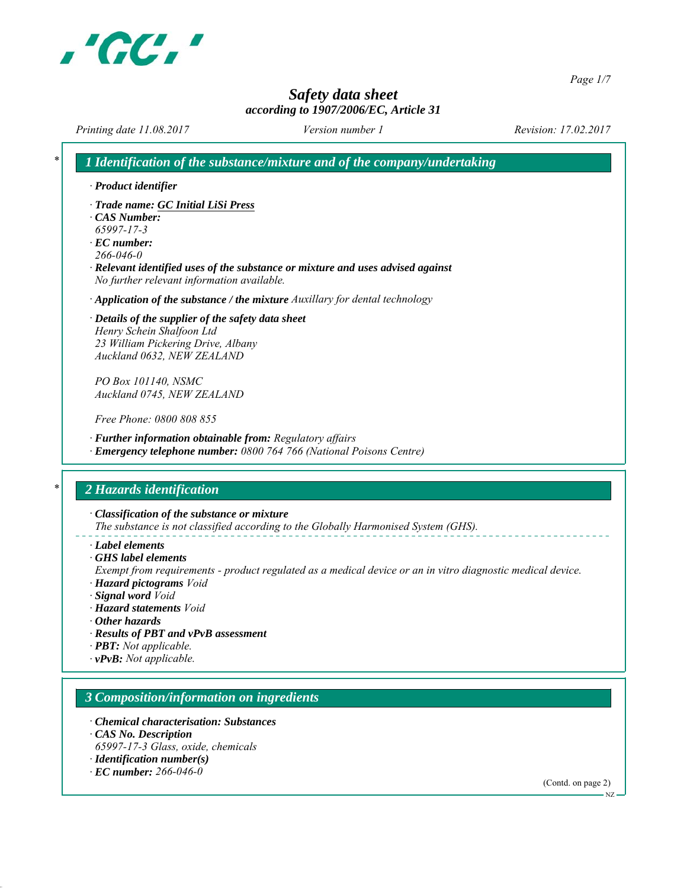

*Page 1/7*

# *Safety data sheet according to 1907/2006/EC, Article 31*

*Printing date 11.08.2017 Revision: 17.02.2017 Version number 1*

| · Product identifier                                                                                                               |
|------------------------------------------------------------------------------------------------------------------------------------|
| · Trade name: GC Initial LiSi Press                                                                                                |
| $\cdot$ CAS Number:                                                                                                                |
| 65997-17-3                                                                                                                         |
| $\cdot$ EC number:<br>$266 - 046 - 0$                                                                                              |
| · Relevant identified uses of the substance or mixture and uses advised against                                                    |
| No further relevant information available.                                                                                         |
| $\cdot$ Application of the substance / the mixture Auxillary for dental technology                                                 |
| · Details of the supplier of the safety data sheet                                                                                 |
| Henry Schein Shalfoon Ltd                                                                                                          |
| 23 William Pickering Drive, Albany                                                                                                 |
| Auckland 0632, NEW ZEALAND                                                                                                         |
| PO Box 101140, NSMC                                                                                                                |
| Auckland 0745, NEW ZEALAND                                                                                                         |
| Free Phone: 0800 808 855                                                                                                           |
| · Further information obtainable from: Regulatory affairs                                                                          |
| · Emergency telephone number: 0800 764 766 (National Poisons Centre)                                                               |
| 2 Hazards identification                                                                                                           |
| · Classification of the substance or mixture<br>The substance is not classified according to the Globally Harmonised System (GHS). |
| · Label elements                                                                                                                   |
| $\cdot$ GHS label elements                                                                                                         |
| Exempt from requirements - product regulated as a medical device or an in vitro diagnostic medical device.                         |
| · Hazard pictograms Void                                                                                                           |
| · Signal word Void<br>· Hazard statements Void                                                                                     |
| $\cdot$ Other hazards                                                                                                              |
| · Results of PBT and vPvB assessment                                                                                               |
| · <b>PBT</b> : Not applicable.                                                                                                     |
| $\cdot$ vPvB: Not applicable.                                                                                                      |
|                                                                                                                                    |
| 3 Composition/information on ingredients                                                                                           |
|                                                                                                                                    |
| • Chemical characterisation: Substances                                                                                            |
| CAS No. Description                                                                                                                |
| 65997-17-3 Glass, oxide, chemicals                                                                                                 |
| $\cdot$ Identification number(s)<br>$\cdot$ EC number: 266-046-0                                                                   |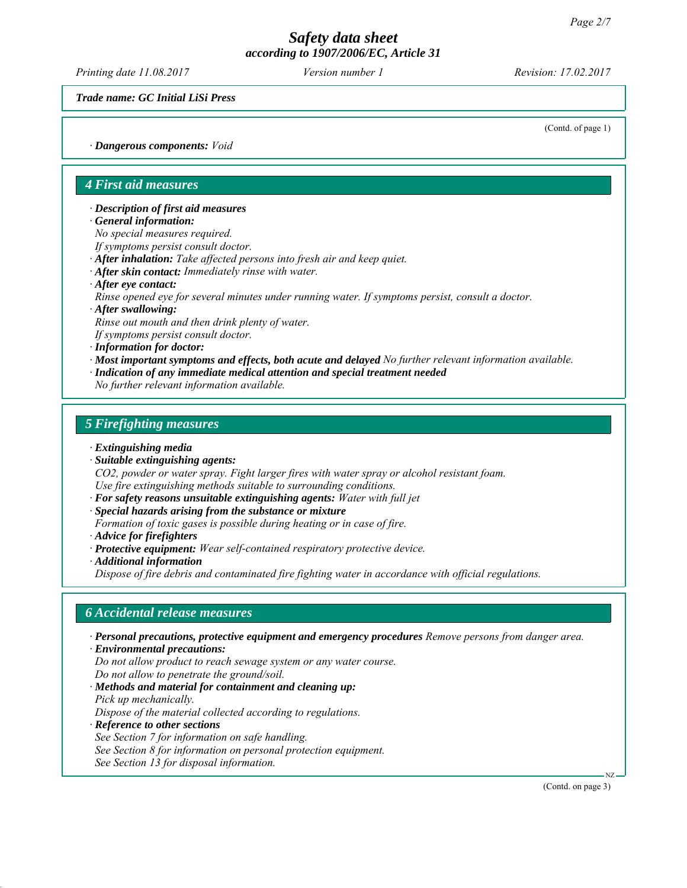*Printing date 11.08.2017 Revision: 17.02.2017 Version number 1*

*Trade name: GC Initial LiSi Press*

(Contd. of page 1)

*∙ Dangerous components: Void*

# *4 First aid measures*

*∙ Description of first aid measures*

*∙ General information:*

*No special measures required.*

*If symptoms persist consult doctor.*

- *∙ After inhalation: Take affected persons into fresh air and keep quiet.*
- *∙ After skin contact: Immediately rinse with water.*
- *∙ After eye contact:*

*Rinse opened eye for several minutes under running water. If symptoms persist, consult a doctor.*

*∙ After swallowing:*

*Rinse out mouth and then drink plenty of water.*

*If symptoms persist consult doctor.*

*∙ Information for doctor:*

*∙ Most important symptoms and effects, both acute and delayed No further relevant information available.*

*∙ Indication of any immediate medical attention and special treatment needed*

*No further relevant information available.*

## *5 Firefighting measures*

*∙ Extinguishing media*

*∙ Suitable extinguishing agents:*

*CO2, powder or water spray. Fight larger fires with water spray or alcohol resistant foam. Use fire extinguishing methods suitable to surrounding conditions.*

- *∙ For safety reasons unsuitable extinguishing agents: Water with full jet*
- *∙ Special hazards arising from the substance or mixture*

*Formation of toxic gases is possible during heating or in case of fire.*

- *∙ Advice for firefighters*
- *∙ Protective equipment: Wear self-contained respiratory protective device.*
- *∙ Additional information*

*Dispose of fire debris and contaminated fire fighting water in accordance with official regulations.*

## *6 Accidental release measures*

*∙ Personal precautions, protective equipment and emergency procedures Remove persons from danger area. ∙ Environmental precautions:*

*Do not allow product to reach sewage system or any water course. Do not allow to penetrate the ground/soil.*

*∙ Methods and material for containment and cleaning up: Pick up mechanically.*

*Dispose of the material collected according to regulations.*

*∙ Reference to other sections*

*See Section 7 for information on safe handling.*

*See Section 8 for information on personal protection equipment.*

*See Section 13 for disposal information.*

(Contd. on page 3)

NZ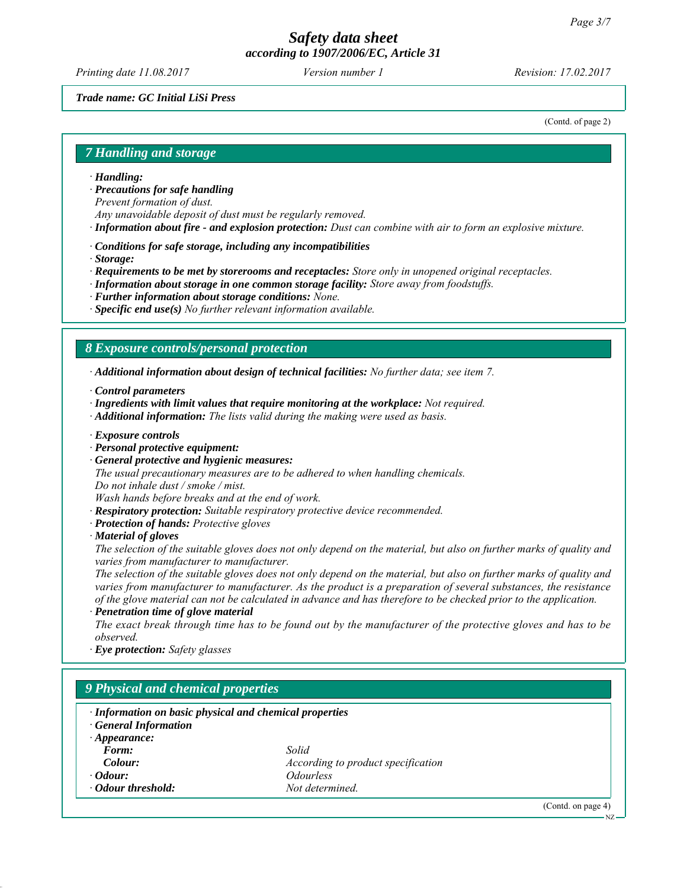*Printing date 11.08.2017 Revision: 17.02.2017 Version number 1*

## *Trade name: GC Initial LiSi Press*

(Contd. of page 2)

#### *7 Handling and storage*

- *∙ Handling:*
- *∙ Precautions for safe handling*

*Prevent formation of dust.*

- *Any unavoidable deposit of dust must be regularly removed.*
- *∙ Information about fire and explosion protection: Dust can combine with air to form an explosive mixture.*
- *∙ Conditions for safe storage, including any incompatibilities*
- *∙ Storage:*
- *∙ Requirements to be met by storerooms and receptacles: Store only in unopened original receptacles.*
- *∙ Information about storage in one common storage facility: Store away from foodstuffs.*
- *∙ Further information about storage conditions: None.*
- *∙ Specific end use(s) No further relevant information available.*

## *8 Exposure controls/personal protection*

*∙ Additional information about design of technical facilities: No further data; see item 7.*

- *∙ Control parameters*
- *∙ Ingredients with limit values that require monitoring at the workplace: Not required.*
- *∙ Additional information: The lists valid during the making were used as basis.*
- *∙ Exposure controls*
- *∙ Personal protective equipment:*
- *∙ General protective and hygienic measures:*

*The usual precautionary measures are to be adhered to when handling chemicals.*

*Do not inhale dust / smoke / mist.*

*Wash hands before breaks and at the end of work.*

- *∙ Respiratory protection: Suitable respiratory protective device recommended.*
- *∙ Protection of hands: Protective gloves*
- *∙ Material of gloves*

*The selection of the suitable gloves does not only depend on the material, but also on further marks of quality and varies from manufacturer to manufacturer.*

*The selection of the suitable gloves does not only depend on the material, but also on further marks of quality and varies from manufacturer to manufacturer. As the product is a preparation of several substances, the resistance of the glove material can not be calculated in advance and has therefore to be checked prior to the application.*

*∙ Penetration time of glove material*

*The exact break through time has to be found out by the manufacturer of the protective gloves and has to be observed.*

*∙ Eye protection: Safety glasses*

# *9 Physical and chemical properties*

| · Information on basic physical and chemical properties<br><b>General Information</b> |                                    |   |  |  |  |
|---------------------------------------------------------------------------------------|------------------------------------|---|--|--|--|
| $\cdot$ Appearance:                                                                   |                                    |   |  |  |  |
| Form:                                                                                 | Solid                              |   |  |  |  |
| Colour:                                                                               | According to product specification |   |  |  |  |
| $\cdot$ <i>Odour:</i>                                                                 | <i><u><b>Odourless</b></u></i>     |   |  |  |  |
| • Odour threshold:                                                                    | Not determined                     |   |  |  |  |
|                                                                                       |                                    | . |  |  |  |

(Contd. on page 4)

NZ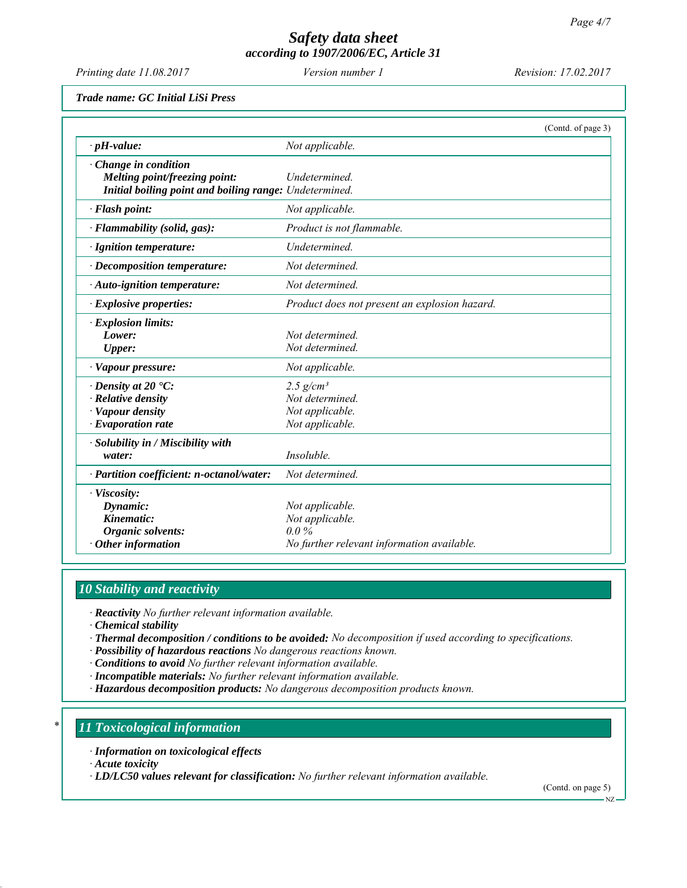*Printing date 11.08.2017 Revision: 17.02.2017 Version number 1*

*Trade name: GC Initial LiSi Press*

|                                                        |                                               | (Contd. of page 3) |
|--------------------------------------------------------|-----------------------------------------------|--------------------|
| $\cdot$ pH-value:                                      | Not applicable.                               |                    |
| · Change in condition                                  |                                               |                    |
| Melting point/freezing point:                          | Undetermined.                                 |                    |
| Initial boiling point and boiling range: Undetermined. |                                               |                    |
| · Flash point:                                         | Not applicable.                               |                    |
| · Flammability (solid, gas):                           | Product is not flammable.                     |                    |
| · Ignition temperature:                                | Undetermined.                                 |                    |
| · Decomposition temperature:                           | Not determined.                               |                    |
| $\cdot$ Auto-ignition temperature:                     | Not determined.                               |                    |
| $\cdot$ Explosive properties:                          | Product does not present an explosion hazard. |                    |
| · Explosion limits:                                    |                                               |                    |
| Lower:                                                 | Not determined.                               |                    |
| <b>Upper:</b>                                          | Not determined.                               |                    |
| · Vapour pressure:                                     | Not applicable.                               |                    |
| $\cdot$ Density at 20 $\cdot$ C:                       | $2.5$ g/cm <sup>3</sup>                       |                    |
| · Relative density                                     | Not determined.                               |                    |
| · Vapour density                                       | Not applicable.                               |                    |
| $\cdot$ Evaporation rate                               | Not applicable.                               |                    |
| · Solubility in / Miscibility with                     |                                               |                    |
| water:                                                 | Insoluble.                                    |                    |
| · Partition coefficient: n-octanol/water:              | Not determined.                               |                    |
| · Viscosity:                                           |                                               |                    |
| Dynamic:                                               | Not applicable.                               |                    |
| Kinematic:                                             | Not applicable.                               |                    |
| Organic solvents:                                      | $0.0\%$                                       |                    |
| $\cdot$ Other information                              | No further relevant information available.    |                    |

# *10 Stability and reactivity*

*∙ Reactivity No further relevant information available.*

*∙ Chemical stability*

*∙ Thermal decomposition / conditions to be avoided: No decomposition if used according to specifications.*

*∙ Possibility of hazardous reactions No dangerous reactions known.*

*∙ Conditions to avoid No further relevant information available.*

*∙ Incompatible materials: No further relevant information available.*

*∙ Hazardous decomposition products: No dangerous decomposition products known.*

## *\* 11 Toxicological information*

*∙ Information on toxicological effects*

*∙ Acute toxicity*

*∙ LD/LC50 values relevant for classification: No further relevant information available.*

(Contd. on page 5)

NZ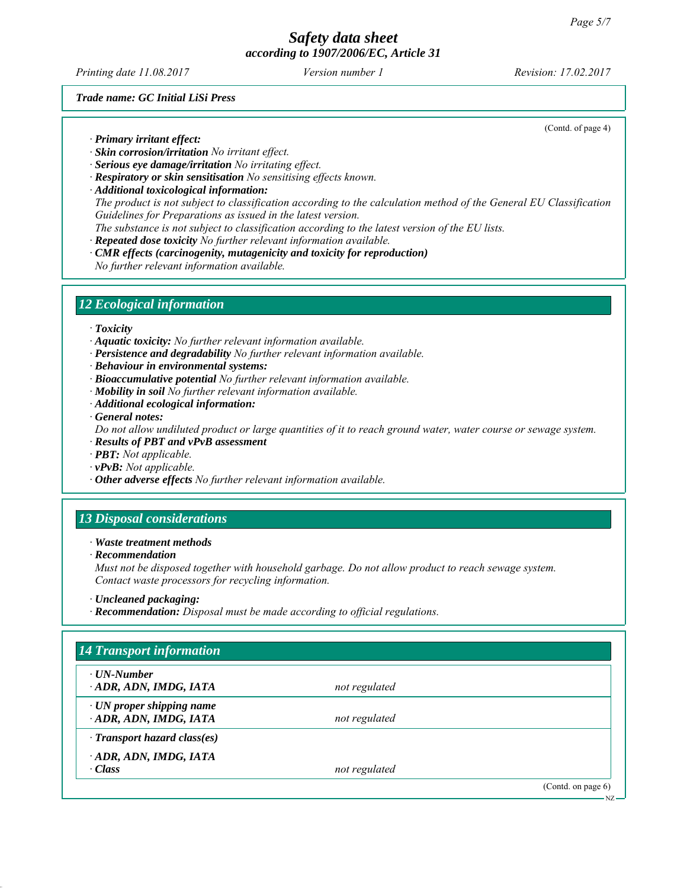*Printing date 11.08.2017 Revision: 17.02.2017 Version number 1*

(Contd. of page 4)

*Trade name: GC Initial LiSi Press*

*∙ Primary irritant effect:*

- *∙ Skin corrosion/irritation No irritant effect.*
- *∙ Serious eye damage/irritation No irritating effect.*
- *∙ Respiratory or skin sensitisation No sensitising effects known.*
- *∙ Additional toxicological information: The product is not subject to classification according to the calculation method of the General EU Classification Guidelines for Preparations as issued in the latest version. The substance is not subject to classification according to the latest version of the EU lists.*
- *∙ Repeated dose toxicity No further relevant information available.*
- *∙ CMR effects (carcinogenity, mutagenicity and toxicity for reproduction) No further relevant information available.*

# *12 Ecological information*

*∙ Toxicity*

*∙ Aquatic toxicity: No further relevant information available.*

- *∙ Persistence and degradability No further relevant information available.*
- *∙ Behaviour in environmental systems:*
- *∙ Bioaccumulative potential No further relevant information available.*
- *∙ Mobility in soil No further relevant information available.*
- *∙ Additional ecological information:*

*∙ General notes:*

*Do not allow undiluted product or large quantities of it to reach ground water, water course or sewage system.*

- *∙ Results of PBT and vPvB assessment*
- *∙ PBT: Not applicable.*
- *∙ vPvB: Not applicable.*
- *∙ Other adverse effects No further relevant information available.*

# *13 Disposal considerations*

*∙ Waste treatment methods*

*∙ Recommendation*

*Must not be disposed together with household garbage. Do not allow product to reach sewage system. Contact waste processors for recycling information.*

*∙ Recommendation: Disposal must be made according to official regulations.*

| $\cdot$ UN-Number                  |               |  |
|------------------------------------|---------------|--|
| ADR, ADN, IMDG, IATA               | not regulated |  |
| $\cdot$ UN proper shipping name    |               |  |
| ADR, ADN, IMDG, IATA               | not regulated |  |
| $\cdot$ Transport hazard class(es) |               |  |
| ADR, ADN, IMDG, IATA               |               |  |
| · Class                            | not regulated |  |

*<sup>∙</sup> Uncleaned packaging:*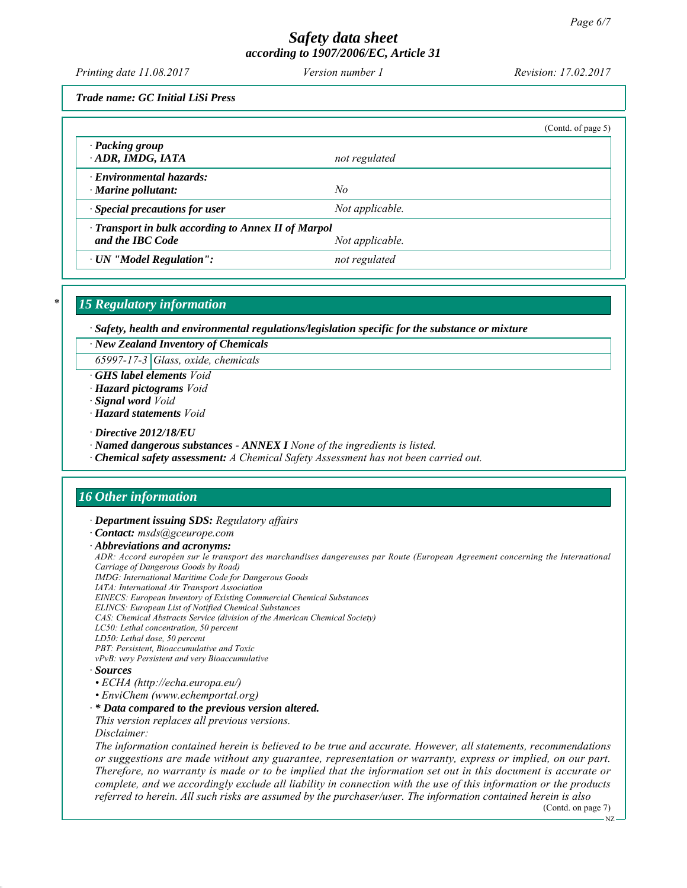*Printing date 11.08.2017 Revision: 17.02.2017 Version number 1*

*Trade name: GC Initial LiSi Press*

|                                                                         |                 | (Contd. of page 5) |
|-------------------------------------------------------------------------|-----------------|--------------------|
| · Packing group<br>ADR, IMDG, IATA                                      | not regulated   |                    |
| $\cdot$ Environmental hazards:<br>$\cdot$ Marine pollutant:             | No              |                    |
| $\cdot$ Special precautions for user                                    | Not applicable. |                    |
| · Transport in bulk according to Annex II of Marpol<br>and the IBC Code | Not applicable. |                    |
| · UN "Model Regulation":                                                | not regulated   |                    |

## *\* 15 Regulatory information*

*∙ Safety, health and environmental regulations/legislation specific for the substance or mixture*

*∙ New Zealand Inventory of Chemicals*

*65997-17-3 Glass, oxide, chemicals*

*∙ GHS label elements Void*

*∙ Hazard pictograms Void*

*∙ Signal word Void*

*∙ Hazard statements Void*

*∙ Directive 2012/18/EU*

*∙ Named dangerous substances - ANNEX I None of the ingredients is listed.*

*∙ Chemical safety assessment: A Chemical Safety Assessment has not been carried out.*

# *16 Other information*

*∙ Department issuing SDS: Regulatory affairs*

*∙ Contact: msds@gceurope.com*

*∙ Abbreviations and acronyms:*

*ADR: Accord européen sur le transport des marchandises dangereuses par Route (European Agreement concerning the International Carriage of Dangerous Goods by Road)*

*IMDG: International Maritime Code for Dangerous Goods*

*IATA: International Air Transport Association EINECS: European Inventory of Existing Commercial Chemical Substances*

*ELINCS: European List of Notified Chemical Substances*

*CAS: Chemical Abstracts Service (division of the American Chemical Society)*

*LC50: Lethal concentration, 50 percent*

*LD50: Lethal dose, 50 percent*

*PBT: Persistent, Bioaccumulative and Toxic*

*vPvB: very Persistent and very Bioaccumulative*

*∙ Sources*

- *ECHA (http://echa.europa.eu/)*
- *EnviChem (www.echemportal.org)*

*∙ \* Data compared to the previous version altered.*

*This version replaces all previous versions. Disclaimer:*

*The information contained herein is believed to be true and accurate. However, all statements, recommendations or suggestions are made without any guarantee, representation or warranty, express or implied, on our part. Therefore, no warranty is made or to be implied that the information set out in this document is accurate or complete, and we accordingly exclude all liability in connection with the use of this information or the products referred to herein. All such risks are assumed by the purchaser/user. The information contained herein is also*

(Contd. on page 7)

NZ